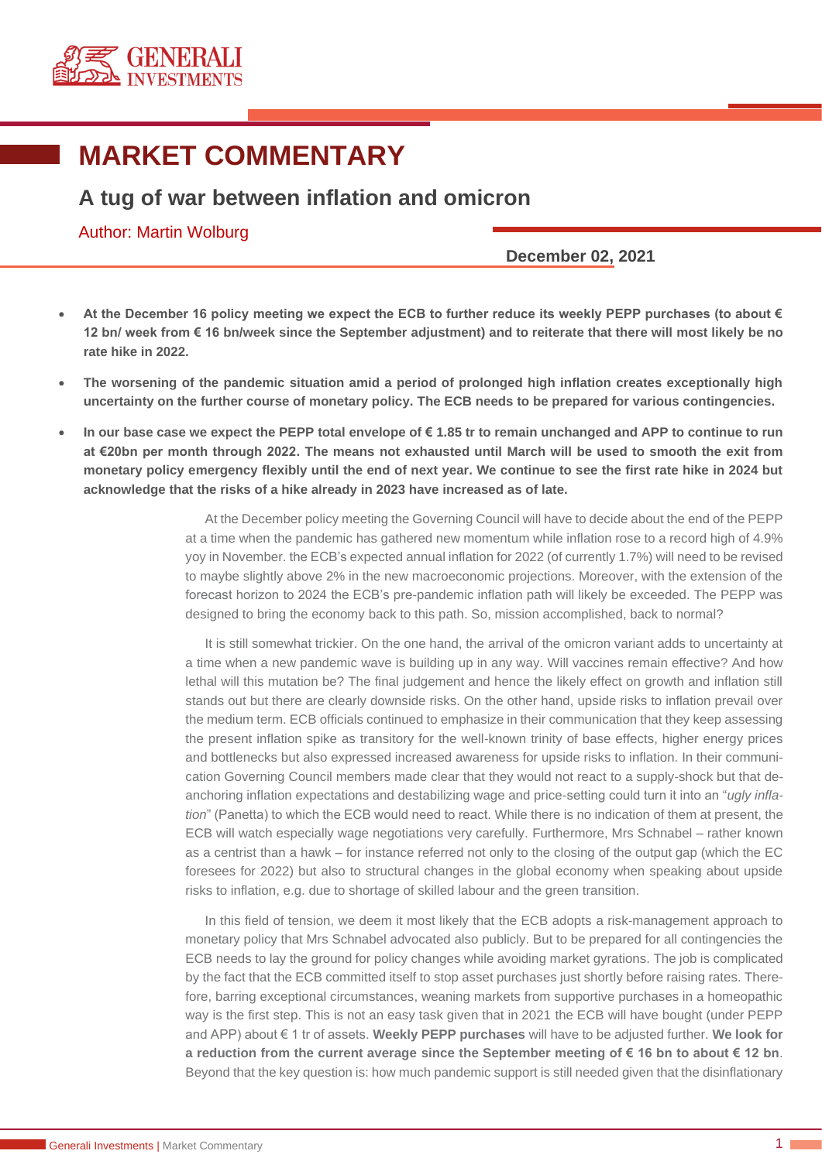

# **MARKET COMMENTARY**

# **A tug of war between inflation and omicron**

## Author: Martin Wolburg

### **December 02, 2021**

- **At the December 16 policy meeting we expect the ECB to further reduce its weekly PEPP purchases (to about € 12 bn/ week from € 16 bn/week since the September adjustment) and to reiterate that there will most likely be no rate hike in 2022.**
- **The worsening of the pandemic situation amid a period of prolonged high inflation creates exceptionally high uncertainty on the further course of monetary policy. The ECB needs to be prepared for various contingencies.**
- **In our base case we expect the PEPP total envelope of € 1.85 tr to remain unchanged and APP to continue to run at €20bn per month through 2022. The means not exhausted until March will be used to smooth the exit from monetary policy emergency flexibly until the end of next year. We continue to see the first rate hike in 2024 but acknowledge that the risks of a hike already in 2023 have increased as of late.**

At the December policy meeting the Governing Council will have to decide about the end of the PEPP at a time when the pandemic has gathered new momentum while inflation rose to a record high of 4.9% yoy in November. the ECB's expected annual inflation for 2022 (of currently 1.7%) will need to be revised to maybe slightly above 2% in the new macroeconomic projections. Moreover, with the extension of the forecast horizon to 2024 the ECB's pre-pandemic inflation path will likely be exceeded. The PEPP was designed to bring the economy back to this path. So, mission accomplished, back to normal?

It is still somewhat trickier. On the one hand, the arrival of the omicron variant adds to uncertainty at a time when a new pandemic wave is building up in any way. Will vaccines remain effective? And how lethal will this mutation be? The final judgement and hence the likely effect on growth and inflation still stands out but there are clearly downside risks. On the other hand, upside risks to inflation prevail over the medium term. ECB officials continued to emphasize in their communication that they keep assessing the present inflation spike as transitory for the well-known trinity of base effects, higher energy prices and bottlenecks but also expressed increased awareness for upside risks to inflation. In their communication Governing Council members made clear that they would not react to a supply-shock but that deanchoring inflation expectations and destabilizing wage and price-setting could turn it into an "*ugly inflation*" (Panetta) to which the ECB would need to react. While there is no indication of them at present, the ECB will watch especially wage negotiations very carefully. Furthermore, Mrs Schnabel – rather known as a centrist than a hawk – for instance referred not only to the closing of the output gap (which the EC foresees for 2022) but also to structural changes in the global economy when speaking about upside risks to inflation, e.g. due to shortage of skilled labour and the green transition.

In this field of tension, we deem it most likely that the ECB adopts a risk-management approach to monetary policy that Mrs Schnabel advocated also publicly. But to be prepared for all contingencies the ECB needs to lay the ground for policy changes while avoiding market gyrations. The job is complicated by the fact that the ECB committed itself to stop asset purchases just shortly before raising rates. Therefore, barring exceptional circumstances, weaning markets from supportive purchases in a homeopathic way is the first step. This is not an easy task given that in 2021 the ECB will have bought (under PEPP and APP) about € 1 tr of assets. **Weekly PEPP purchases** will have to be adjusted further. **We look for a reduction from the current average since the September meeting of € 16 bn to about € 12 bn**. Beyond that the key question is: how much pandemic support is still needed given that the disinflationary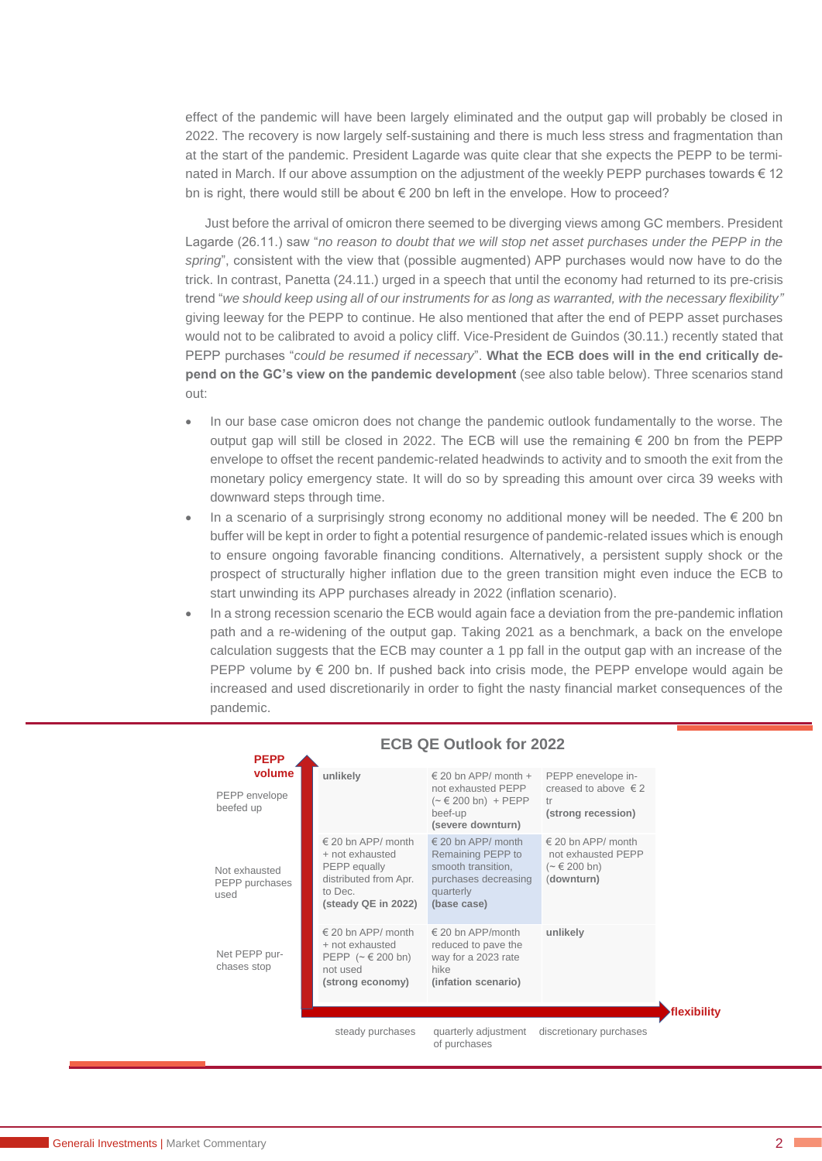effect of the pandemic will have been largely eliminated and the output gap will probably be closed in 2022. The recovery is now largely self-sustaining and there is much less stress and fragmentation than at the start of the pandemic. President Lagarde was quite clear that she expects the PEPP to be terminated in March. If our above assumption on the adjustment of the weekly PEPP purchases towards € 12 bn is right, there would still be about  $\epsilon$  200 bn left in the envelope. How to proceed?

Just before the arrival of omicron there seemed to be diverging views among GC members. President Lagarde (26.11.) saw "*no reason to doubt that we will stop net asset purchases under the PEPP in the spring*", consistent with the view that (possible augmented) APP purchases would now have to do the trick. In contrast, Panetta (24.11.) urged in a speech that until the economy had returned to its pre-crisis trend "*we should keep using all of our instruments for as long as warranted, with the necessary flexibility"*  giving leeway for the PEPP to continue. He also mentioned that after the end of PEPP asset purchases would not to be calibrated to avoid a policy cliff. Vice-President de Guindos (30.11.) recently stated that PEPP purchases "*could be resumed if necessary*". **What the ECB does will in the end critically depend on the GC's view on the pandemic development** (see also table below). Three scenarios stand out:

- In our base case omicron does not change the pandemic outlook fundamentally to the worse. The output gap will still be closed in 2022. The ECB will use the remaining  $\epsilon$  200 bn from the PEPP envelope to offset the recent pandemic-related headwinds to activity and to smooth the exit from the monetary policy emergency state. It will do so by spreading this amount over circa 39 weeks with downward steps through time.
- In a scenario of a surprisingly strong economy no additional money will be needed. The  $\epsilon$  200 bn buffer will be kept in order to fight a potential resurgence of pandemic-related issues which is enough to ensure ongoing favorable financing conditions. Alternatively, a persistent supply shock or the prospect of structurally higher inflation due to the green transition might even induce the ECB to start unwinding its APP purchases already in 2022 (inflation scenario).
- In a strong recession scenario the ECB would again face a deviation from the pre-pandemic inflation path and a re-widening of the output gap. Taking 2021 as a benchmark, a back on the envelope calculation suggests that the ECB may counter a 1 pp fall in the output gap with an increase of the PEPP volume by € 200 bn. If pushed back into crisis mode, the PEPP envelope would again be increased and used discretionarily in order to fight the nasty financial market consequences of the pandemic.



#### **ECB QE Outlook for 2022**